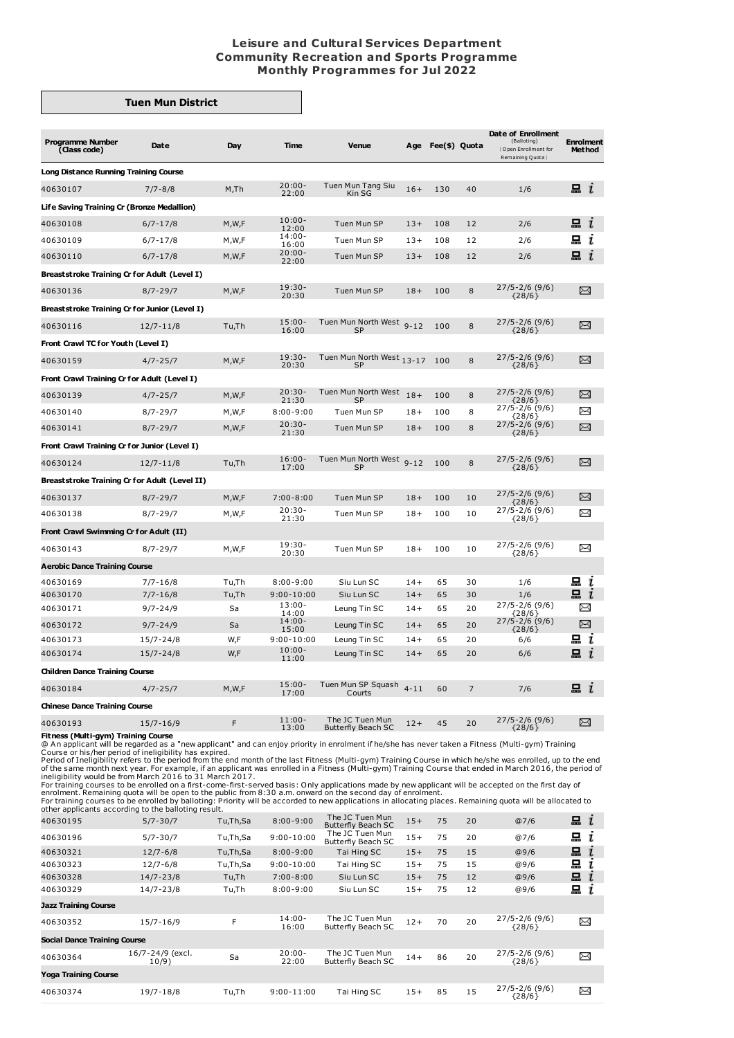## **Leisure and Cultural Services Department Community Recreation and Sports Programme Monthly Programmes for Jul 2022**

## **Tuen Mun District**

| <b>Programme Number</b><br>(Class code)       | Date          | Day     | Time                       | Venue                                        | Age      | Fee(\$) Quota |    | Date of Enrollment<br>(Balloting)<br>Open Enrollment for<br>Remaining Quota } | <b>Enrolment</b><br><b>Method</b> |
|-----------------------------------------------|---------------|---------|----------------------------|----------------------------------------------|----------|---------------|----|-------------------------------------------------------------------------------|-----------------------------------|
| <b>Long Distance Running Training Course</b>  |               |         |                            |                                              |          |               |    |                                                                               |                                   |
| 40630107                                      | $7/7 - 8/8$   | M,Th    | $20:00 -$<br>22:00         | Tuen Mun Tang Siu<br>Kin SG                  | $16+$    | 130           | 40 | 1/6                                                                           | 묘 $i$                             |
| Life Saving Training Cr (Bronze Medallion)    |               |         |                            |                                              |          |               |    |                                                                               |                                   |
| 40630108                                      | $6/7 - 17/8$  | M, W, F | $10:00 -$<br>12:00         | Tuen Mun SP                                  | $13+$    | 108           | 12 | 2/6                                                                           | 묘 $\,i$                           |
| 40630109                                      | $6/7 - 17/8$  | M,W,F   | $14:00 -$<br>16:00         | Tuen Mun SP                                  | $13+$    | 108           | 12 | 2/6                                                                           | 묘<br>ı                            |
| 40630110                                      | $6/7 - 17/8$  | M, W, F | $20:00 -$<br>22:00         | Tuen Mun SP                                  | $13+$    | 108           | 12 | 2/6                                                                           | 묘<br>$\mathbf{r}$                 |
| Breaststroke Training Cr for Adult (Level I)  |               |         |                            |                                              |          |               |    |                                                                               |                                   |
| 40630136                                      | $8/7 - 29/7$  | M, W, F | $19:30-$<br>20:30          | Tuen Mun SP                                  | $18+$    | 100           | 8  | $27/5 - 2/6$ (9/6)                                                            | X                                 |
| Breaststroke Training Cr for Junior (Level I) |               |         |                            |                                              |          |               |    | ${28/6}$                                                                      |                                   |
| 40630116                                      | $12/7 - 11/8$ | Tu,Th   | $15:00 -$                  | Tuen Mun North West 9-12                     |          | 100           | 8  | $27/5 - 2/6$ (9/6)                                                            | X                                 |
| Front Crawl TC for Youth (Level I)            |               |         | 16:00                      | <b>SP</b>                                    |          |               |    | ${28/6}$                                                                      |                                   |
| 40630159                                      | $4/7 - 25/7$  | M,W,F   | $19:30 -$                  | Tuen Mun North West 13-17                    |          | 100           | 8  | $27/5 - 2/6$ (9/6)                                                            | X                                 |
| Front Crawl Training Cr for Adult (Level I)   |               |         | 20:30                      | <b>SP</b>                                    |          |               |    | ${28/6}$                                                                      |                                   |
|                                               |               |         | $20:30 -$                  | Tuen Mun North West                          | $18+$    | 100           |    | $27/5 - 2/6$ (9/6)                                                            | X                                 |
| 40630139                                      | $4/7 - 25/7$  | M,W,F   | 21:30                      | <b>SP</b>                                    |          |               | 8  | $\{28/6\}$<br>27/5-2/6 (9/6)                                                  |                                   |
| 40630140                                      | $8/7 - 29/7$  | M,W,F   | $8:00 - 9:00$<br>$20:30 -$ | Tuen Mun SP                                  | $18+$    | 100           | 8  | ${28/6}$                                                                      | ⊠                                 |
| 40630141                                      | $8/7 - 29/7$  | M,W,F   | 21:30                      | Tuen Mun SP                                  | $18+$    | 100           | 8  | 27/5-2/6 (9/6)<br>${28/6}$                                                    | X                                 |
| Front Crawl Training Cr for Junior (Level I)  |               |         |                            |                                              |          |               |    |                                                                               |                                   |
| 40630124                                      | $12/7 - 11/8$ | Tu,Th   | $16:00 -$<br>17:00         | Tuen Mun North West 9-12<br><b>SP</b>        |          | 100           | 8  | $27/5 - 2/6$ (9/6)<br>${28/6}$                                                | X                                 |
| Breaststroke Training Cr for Adult (Level II) |               |         |                            |                                              |          |               |    |                                                                               |                                   |
| 40630137                                      | $8/7 - 29/7$  | M,W,F   | $7:00 - 8:00$              | Tuen Mun SP                                  | $18+$    | 100           | 10 | $27/5 - 2/6$ (9/6)<br>${28/6}$                                                | $\Join$                           |
| 40630138                                      | $8/7 - 29/7$  | M,W,F   | $20:30-$<br>21:30          | Tuen Mun SP                                  | $18+$    | 100           | 10 | $27/5 - 2/6$ (9/6)<br>${28/6}$                                                | ≻≺                                |
| Front Crawl Swimming Cr for Adult (II)        |               |         |                            |                                              |          |               |    |                                                                               |                                   |
| 40630143                                      | $8/7 - 29/7$  | M,W,F   | $19:30 -$<br>20:30         | Tuen Mun SP                                  | $18+$    | 100           | 10 | $27/5 - 2/6$ (9/6)<br>${28/6}$                                                | X                                 |
| <b>Aerobic Dance Training Course</b>          |               |         |                            |                                              |          |               |    |                                                                               |                                   |
| 40630169                                      | $7/7 - 16/8$  | Tu,Th   | $8:00 - 9:00$              | Siu Lun SC                                   | $14 +$   | 65            | 30 | 1/6                                                                           | ᆵ i                               |
| 40630170                                      | $7/7 - 16/8$  | Tu,Th   | $9:00 - 10:00$             | Siu Lun SC                                   | $14 +$   | 65            | 30 | 1/6                                                                           | ݐ $\boldsymbol{t}$                |
| 40630171                                      | $9/7 - 24/9$  | Sa      | $13:00 -$<br>14:00         | Leung Tin SC                                 | $14+$    | 65            | 20 | $27/5 - 2/6$ (9/6)<br>${28/6}$                                                | X                                 |
| 40630172                                      | $9/7 - 24/9$  | Sa      | $14:00 -$<br>15:00         | Leung Tin SC                                 | $14 +$   | 65            | 20 | $27/5 - 2/6$ (9/6)<br>${28/6}$                                                | X                                 |
| 40630173                                      | $15/7 - 24/8$ | W,F     | $9:00 - 10:00$             | Leung Tin SC                                 | $14+$    | 65            | 20 | 6/6                                                                           | 므ι                                |
| 40630174                                      | $15/7 - 24/8$ | W,F     | $10:00 -$<br>11:00         | Leung Tin SC                                 | $14 +$   | 65            | 20 | 6/6                                                                           | 묘<br>$\mathbf{u}$                 |
| <b>Children Dance Training Course</b>         |               |         |                            |                                              |          |               |    |                                                                               |                                   |
| 40630184                                      | $4/7 - 25/7$  | M,W,F   | $15:00 -$<br>17:00         | Tuen Mun SP Squash<br>Courts                 | $4 - 11$ | 60            | 7  | 7/6                                                                           | $\Xi$ $i$                         |
| <b>Chinese Dance Training Course</b>          |               |         |                            |                                              |          |               |    |                                                                               |                                   |
| 40630193                                      | $15/7 - 16/9$ | F       | $11:00 -$<br>13:00         | The JC Tuen Mun<br><b>Butterfly Beach SC</b> | $12 +$   | 45            | 20 | $27/5 - 2/6$ (9/6)<br>${28/6}$                                                | X                                 |
| Fitness (Multi-gym) Training Course           |               |         |                            |                                              |          |               |    |                                                                               |                                   |

Example and Taylor 1997<br>
The second of Indiple Course of the analysis of the accorded to new applicant will be regarded as a "new applicant" and can enjoy priority in enrolment if he/she has never taken a Fitness (Multi-gy

| 40630195                            | $5/7 - 30/7$              | Tu,Th,Sa | $8:00 - 9:00$      | The JC Tuen Mun<br><b>Butterfly Beach SC</b> | $15+$ | 75 | 20 | @7/6                           | 묘<br>$\mathbf{I}$ |
|-------------------------------------|---------------------------|----------|--------------------|----------------------------------------------|-------|----|----|--------------------------------|-------------------|
| 40630196                            | $5/7 - 30/7$              | Tu,Th,Sa | $9:00 - 10:00$     | The JC Tuen Mun<br>Butterfly Beach SC        | $15+$ | 75 | 20 | @7/6                           | 묘<br>ı            |
| 40630321                            | $12/7 - 6/8$              | Tu,Th,Sa | $8:00 - 9:00$      | Tai Hing SC                                  | $15+$ | 75 | 15 | @9/6                           | 묘                 |
| 40630323                            | $12/7 - 6/8$              | Tu,Th,Sa | $9:00 - 10:00$     | Tai Hing SC                                  | $15+$ | 75 | 15 | @9/6                           | 묘                 |
| 40630328                            | $14/7 - 23/8$             | Tu,Th    | $7:00 - 8:00$      | Siu Lun SC                                   | $15+$ | 75 | 12 | @9/6                           | 묘                 |
| 40630329                            | $14/7 - 23/8$             | Tu,Th    | $8:00 - 9:00$      | Siu Lun SC                                   | $15+$ | 75 | 12 | @9/6                           | 묘<br>ı            |
| <b>Jazz Training Course</b>         |                           |          |                    |                                              |       |    |    |                                |                   |
| 40630352                            | $15/7 - 16/9$             | F        | $14:00 -$<br>16:00 | The JC Tuen Mun<br>Butterfly Beach SC        | $12+$ | 70 | 20 | $27/5 - 2/6$ (9/6)<br>${28/6}$ | X                 |
| <b>Social Dance Training Course</b> |                           |          |                    |                                              |       |    |    |                                |                   |
| 40630364                            | 16/7-24/9 (excl.<br>10/9) | Sa       | $20:00 -$<br>22:00 | The JC Tuen Mun<br>Butterfly Beach SC        | $14+$ | 86 | 20 | $27/5 - 2/6$ (9/6)<br>${28/6}$ | X                 |
| <b>Yoga Training Course</b>         |                           |          |                    |                                              |       |    |    |                                |                   |
| 40630374                            | 19/7-18/8                 | Tu,Th    | $9:00 - 11:00$     | Tai Hing SC                                  | $15+$ | 85 | 15 | $27/5 - 2/6$ (9/6)<br>${28/6}$ | X                 |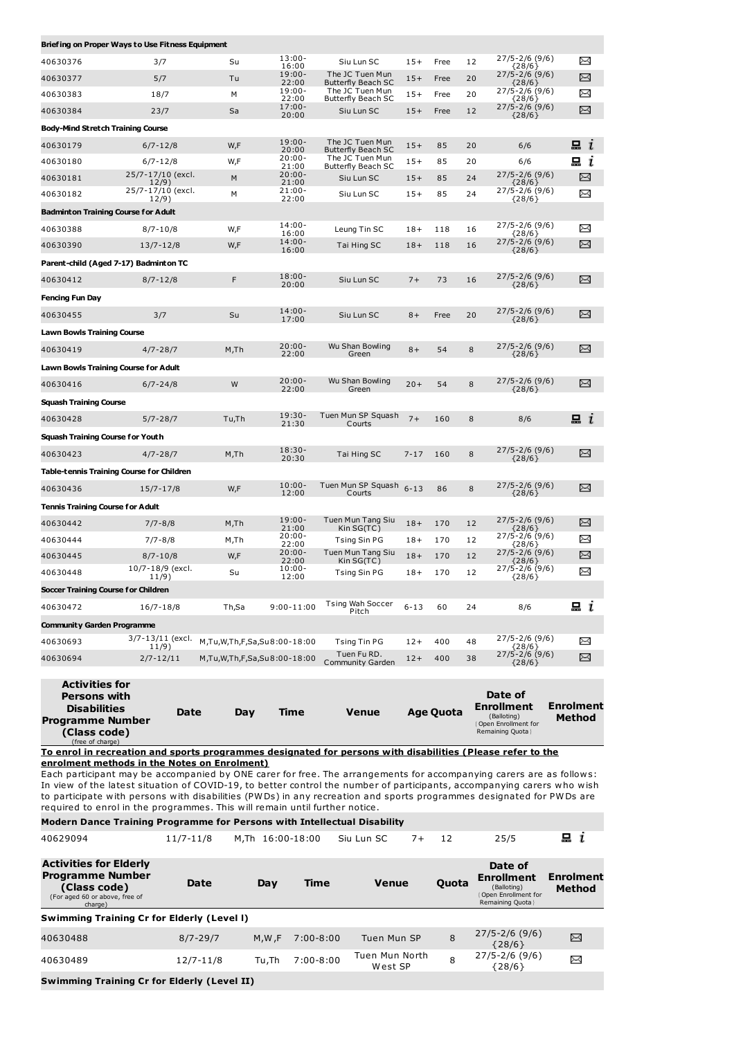| Briefing on Proper Ways to Use Fitness Equipment |                            |                             |                          |                                              |          |      |    |                                        |            |
|--------------------------------------------------|----------------------------|-----------------------------|--------------------------|----------------------------------------------|----------|------|----|----------------------------------------|------------|
| 40630376                                         | 3/7                        | Su                          | $13:00 -$<br>16:00       | Siu Lun SC                                   | $15+$    | Free | 12 | 27/5-2/6 (9/6)<br>${28/6}$             | ⊠          |
| 40630377                                         | 5/7                        | Tu                          | $19:00 -$<br>22:00       | The JC Tuen Mun<br><b>Butterfly Beach SC</b> | $15+$    | Free | 20 | 27/5-2/6 (9/6)<br>${28/6}$             | X          |
| 40630383                                         | 18/7                       | M                           | $19:00 -$<br>22:00       | The JC Tuen Mun<br><b>Butterfly Beach SC</b> | $15+$    | Free | 20 | 27/5-2/6 (9/6)<br>{28/6}               | ⊠          |
| 40630384                                         | 23/7                       | Sa                          | $17:00 -$<br>20:00       | Siu Lun SC                                   | $15+$    | Free | 12 | $27/5 - 2/6$ (9/6)<br>${28/6}$         | ⊠          |
| <b>Body-Mind Stretch Training Course</b>         |                            |                             |                          |                                              |          |      |    |                                        |            |
| 40630179                                         | $6/7 - 12/8$               | W,F                         | $19:00 -$<br>20:00       | The JC Tuen Mun<br><b>Butterfly Beach SC</b> | $15+$    | 85   | 20 | 6/6                                    | 묘 $i$      |
| 40630180                                         | $6/7 - 12/8$               | W,F                         | 20:00-<br>21:00          | The JC Tuen Mun<br><b>Butterfly Beach SC</b> | $15+$    | 85   | 20 | 6/6                                    | <b>显 し</b> |
| 40630181                                         | 25/7-17/10 (excl.<br>12/9) | M                           | 20:00-<br>21:00          | Siu Lun SC                                   | $15+$    | 85   | 24 | $27/5 - 2/6$ (9/6)<br>${28/6}$         | X          |
| 40630182                                         | 25/7-17/10 (excl.<br>12/9) | М                           | $21:00 -$<br>22:00       | Siu Lun SC                                   | $15+$    | 85   | 24 | 27/5-2/6 (9/6)<br>${28/6}$             | X          |
| <b>Badminton Training Course for Adult</b>       |                            |                             |                          |                                              |          |      |    |                                        |            |
| 40630388                                         | $8/7 - 10/8$               | W,F                         | $14:00 -$<br>16:00       | Leung Tin SC                                 | $18+$    | 118  | 16 | 27/5-2/6 (9/6)<br>${28/6}$             | ⊠          |
| 40630390                                         | $13/7 - 12/8$              | W,F                         | 14:00-<br>16:00          | Tai Hing SC                                  | $18 +$   | 118  | 16 | $27/5 - 2/6$ (9/6)<br>${28/6}$         | X          |
| Parent-child (Aged 7-17) Badminton TC            |                            |                             |                          |                                              |          |      |    |                                        |            |
| 40630412                                         | $8/7 - 12/8$               | F                           | $18:00 -$<br>20:00       | Siu Lun SC                                   | $7+$     | 73   | 16 | $27/5 - 2/6$ (9/6)<br>${28/6}$         | X          |
| <b>Fencing Fun Day</b>                           |                            |                             |                          |                                              |          |      |    |                                        |            |
| 40630455                                         | 3/7                        | Su                          | $14:00 -$<br>17:00       | Siu Lun SC                                   | $8+$     | Free | 20 | 27/5-2/6 (9/6)<br>${28/6}$             | X          |
| <b>Lawn Bowls Training Course</b>                |                            |                             |                          |                                              |          |      |    |                                        |            |
| 40630419                                         | $4/7 - 28/7$               | M,Th                        | $20:00 -$<br>22:00       | Wu Shan Bowling<br>Green                     | $8+$     | 54   | 8  | 27/5-2/6 (9/6)<br>${28/6}$             | X          |
| <b>Lawn Bowls Training Course for Adult</b>      |                            |                             |                          |                                              |          |      |    |                                        |            |
| 40630416                                         | $6/7 - 24/8$               | W                           | $20:00 -$<br>22:00       | Wu Shan Bowling<br>Green                     | $20 +$   | 54   | 8  | 27/5-2/6 (9/6)<br>${28/6}$             | ⊠          |
| <b>Squash Training Course</b>                    |                            |                             |                          |                                              |          |      |    |                                        |            |
| 40630428                                         | $5/7 - 28/7$               | Tu,Th                       | 19:30-<br>21:30          | Tuen Mun SP Squash<br>Courts                 | $7+$     | 160  | 8  | 8/6                                    | 묘 $i$      |
| <b>Squash Training Course for Youth</b>          |                            |                             |                          |                                              |          |      |    |                                        |            |
| 40630423                                         | $4/7 - 28/7$               | M,Th                        | $18:30 -$<br>20:30       | Tai Hing SC                                  | $7 - 17$ | 160  | 8  | $27/5 - 2/6$ (9/6)<br>${28/6}$         | X          |
| Table-tennis Training Course for Children        |                            |                             |                          |                                              |          |      |    |                                        |            |
| 40630436                                         | $15/7 - 17/8$              | W,F                         | $10:00 -$<br>12:00       | Tuen Mun SP Squash<br>Courts                 | $6 - 13$ | 86   | 8  | 27/5-2/6 (9/6)<br>${28/6}$             | ⊠          |
| <b>Tennis Training Course for Adult</b>          |                            |                             |                          |                                              |          |      |    |                                        |            |
| 40630442                                         | $7/7 - 8/8$                | M,Th                        | $19:00 -$                | Tuen Mun Tang Siu                            | $18+$    | 170  | 12 | 27/5-2/6 (9/6)                         | X          |
| 40630444                                         | $7/7 - 8/8$                | M,Th                        | 21:00<br>20:00-<br>22:00 | Kin SG(TC)<br>Tsing Sin PG                   | $18+$    | 170  | 12 | ${28/6}$<br>27/5-2/6 (9/6)<br>${28/6}$ | ⊠          |
| 40630445                                         | $8/7 - 10/8$               | W,F                         | $20:00 -$<br>22:00       | Tuen Mun Tang Siu<br>Kin SG(TC)              | $18+$    | 170  | 12 | 27/5-2/6 (9/6)<br>${28/6}$             | X          |
| 40630448                                         | 10/7-18/9 (excl.<br>11/9)  | Su                          | $10:00 -$<br>12:00       | Tsing Sin PG                                 | $18+$    | 170  | 12 | 27/5-2/6 (9/6)<br>${28/6}$             | X          |
| Soccer Training Course for Children              |                            |                             |                          |                                              |          |      |    |                                        |            |
| 40630472                                         | $16/7 - 18/8$              | Th,Sa                       | $9:00 - 11:00$           | <b>Tsing Wah Soccer</b><br>Pitch             | $6 - 13$ | 60   | 24 | 8/6                                    | <b>ո</b> ւ |
| <b>Community Garden Programme</b>                |                            |                             |                          |                                              |          |      |    |                                        |            |
| 40630693                                         | 3/7-13/11 (excl.           | M,Tu,W,Th,F,Sa,Su8:00-18:00 |                          | Tsing Tin PG                                 | $12+$    | 400  | 48 | 27/5-2/6 (9/6)                         | ⊠          |
| 40630694                                         | 11/9)<br>$2/7 - 12/11$     | M,Tu,W,Th,F,Sa,Su8:00-18:00 |                          | Tuen Fu RD.<br>Community Garden              | $12 +$   | 400  | 38 | ${28/6}$<br>27/5-2/6 (9/6)<br>${28/6}$ | X          |
|                                                  |                            |                             |                          |                                              |          |      |    |                                        |            |
| Activities for                                   |                            |                             |                          |                                              |          |      |    |                                        |            |

| <b>Activities for</b><br><b>Persons with</b><br><b>Disabilities</b><br><b>Programme Number</b><br>(Class code)<br>(free of charge) | Date | Dav | Time | <b>Venue</b> | <b>Age Quota</b> | Date of<br><b>Enrollment</b><br>(Balloting)<br>Open Enrollment for<br>Remaining Quota | Enrolment<br>Method |
|------------------------------------------------------------------------------------------------------------------------------------|------|-----|------|--------------|------------------|---------------------------------------------------------------------------------------|---------------------|
|------------------------------------------------------------------------------------------------------------------------------------|------|-----|------|--------------|------------------|---------------------------------------------------------------------------------------|---------------------|

**To enrol in recreation and sports programmes designated for persons with disabilities (Please refer to the enrolment methods in the Notes on Enrolment)**

Each participant may be accompanied by ONE carer for free. The arrangements for accompanying carers are as follows: In view of the latest situation of COVID-19, to better control the number of participants, accompanying carers who wish to participate with persons with disabilities (PWDs) in any recreation and sports programmes designated for PWDs are required to enrol in the programmes. This will remain until further notice.

| Modern Dance Training Programme for Persons with Intellectual Disability                                              |               |                  |               |                           |       |                                                                                         |                                   |
|-----------------------------------------------------------------------------------------------------------------------|---------------|------------------|---------------|---------------------------|-------|-----------------------------------------------------------------------------------------|-----------------------------------|
| 40629094                                                                                                              | $11/7 - 11/8$ | M.Th 16:00-18:00 |               | Siu Lun SC<br>$7+$        | 12    | 25/5                                                                                    | i                                 |
| <b>Activities for Elderly</b><br><b>Programme Number</b><br>(Class code)<br>(For aged 60 or above, free of<br>charge) | <b>Date</b>   | Day              | Time          | <b>Venue</b>              | Quota | Date of<br><b>Enrollment</b><br>(Balloting)<br>Open Enrollment for<br>Remaining Quota } | <b>Enrolment</b><br><b>Method</b> |
| <b>Swimming Training Cr for Elderly (Level I)</b>                                                                     |               |                  |               |                           |       |                                                                                         |                                   |
| 40630488                                                                                                              | $8/7 - 29/7$  | M.W.F            | $7:00 - 8:00$ | Tuen Mun SP               | 8     | $27/5 - 2/6$ (9/6)<br>${28/6}$                                                          | χ                                 |
| 40630489                                                                                                              | $12/7 - 11/8$ | Tu.Th            | $7:00 - 8:00$ | Tuen Mun North<br>West SP | 8     | $27/5 - 2/6$ (9/6)<br>${28/6}$                                                          | χ                                 |
| <b>Swimming Training Cr for Elderly (Level II)</b>                                                                    |               |                  |               |                           |       |                                                                                         |                                   |